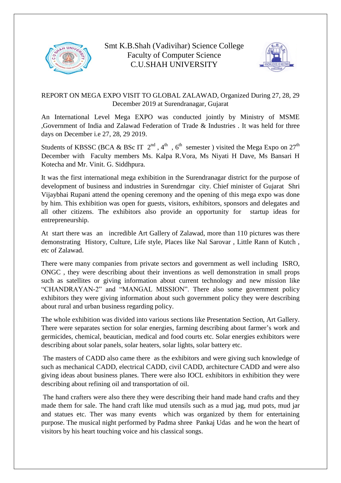



## REPORT ON MEGA EXPO VISIT TO GLOBAL ZALAWAD, Organized During 27, 28, 29 December 2019 at Surendranagar, Gujarat

An International Level Mega EXPO was conducted jointly by Ministry of MSME ,Government of India and Zalawad Federation of Trade & Industries . It was held for three days on December i.e 27, 28, 29 2019.

Students of KBSSC (BCA & BSc IT  $2^{nd}$ ,  $4^{th}$ ,  $6^{th}$  semester) visited the Mega Expo on  $27^{th}$ December with Faculty members Ms. Kalpa R.Vora, Ms Niyati H Dave, Ms Bansari H Kotecha and Mr. Vinit. G. Siddhpura.

It was the first international mega exhibition in the Surendranagar district for the purpose of development of business and industries in Surendrngar city. Chief minister of Gujarat Shri Vijaybhai Rupani attend the opening ceremony and the opening of this mega expo was done by him. This exhibition was open for guests, visitors, exhibitors, sponsors and delegates and all other citizens. The exhibitors also provide an opportunity for startup ideas for entrepreneurship.

At start there was an incredible Art Gallery of Zalawad, more than 110 pictures was there demonstrating History, Culture, Life style, Places like Nal Sarovar , Little Rann of Kutch , etc of Zalawad.

There were many companies from private sectors and government as well including ISRO, ONGC , they were describing about their inventions as well demonstration in small props such as satellites or giving information about current technology and new mission like "CHANDRAYAN-2" and "MANGAL MISSION". There also some government policy exhibitors they were giving information about such government policy they were describing about rural and urban business regarding policy.

The whole exhibition was divided into various sections like Presentation Section, Art Gallery. There were separates section for solar energies, farming describing about farmer's work and germicides, chemical, beautician, medical and food courts etc. Solar energies exhibitors were describing about solar panels, solar heaters, solar lights, solar battery etc.

The masters of CADD also came there as the exhibitors and were giving such knowledge of such as mechanical CADD, electrical CADD, civil CADD, architecture CADD and were also giving ideas about business planes. There were also IOCL exhibitors in exhibition they were describing about refining oil and transportation of oil.

The hand crafters were also there they were describing their hand made hand crafts and they made them for sale. The hand craft like mud utensils such as a mud jag, mud pots, mud jar and statues etc. Ther was many events which was organized by them for entertaining purpose. The musical night performed by Padma shree Pankaj Udas and he won the heart of visitors by his heart touching voice and his classical songs.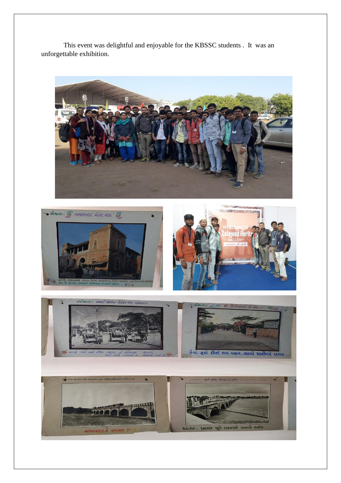This event was delightful and enjoyable for the KBSSC students . It was an unforgettable exhibition.





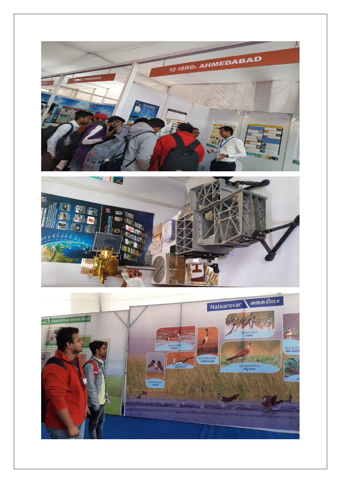